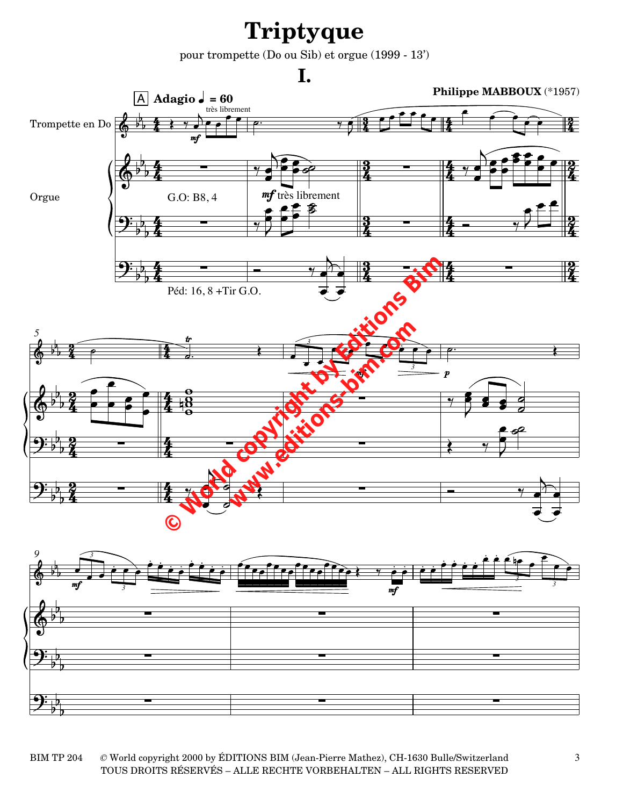## **Triptyque**

pour trompette (Do ou Sib) et orgue (1999 - 13')





BIM TP 204 TOUS DROITS RÉSERVÉS – ALLE RECHTE VORBEHALTEN – ALL RIGHTS RESERVED *©* World copyright 2000 by ÉDITIONS BIM (Jean-Pierre Mathez), CH-1630 Bulle/Switzerland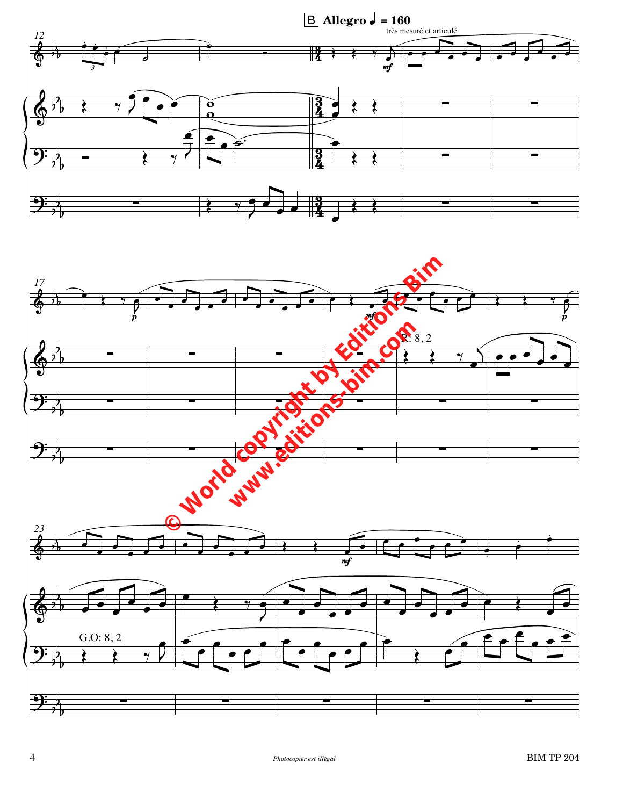



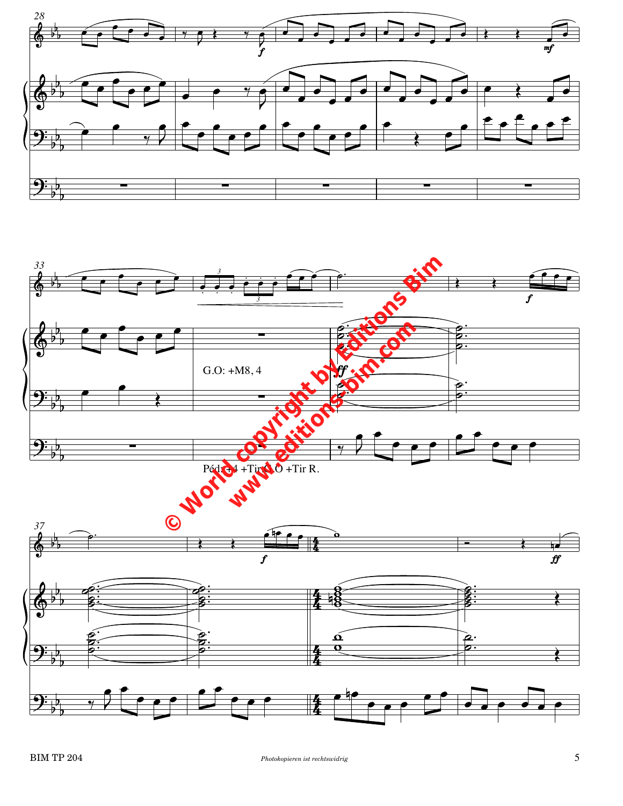

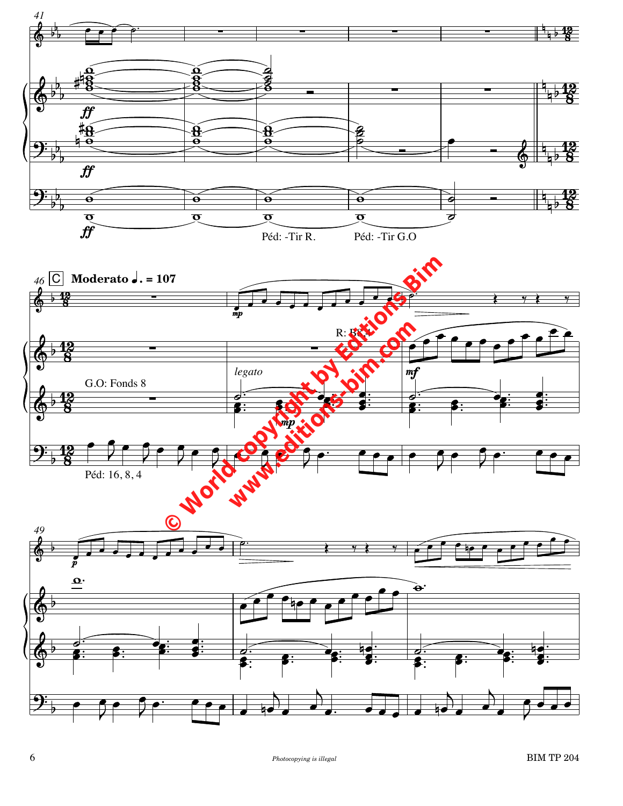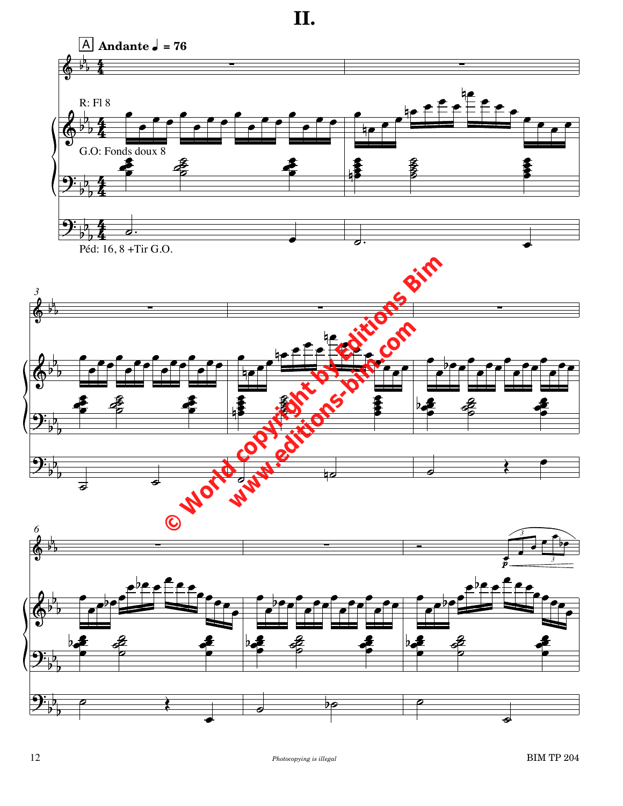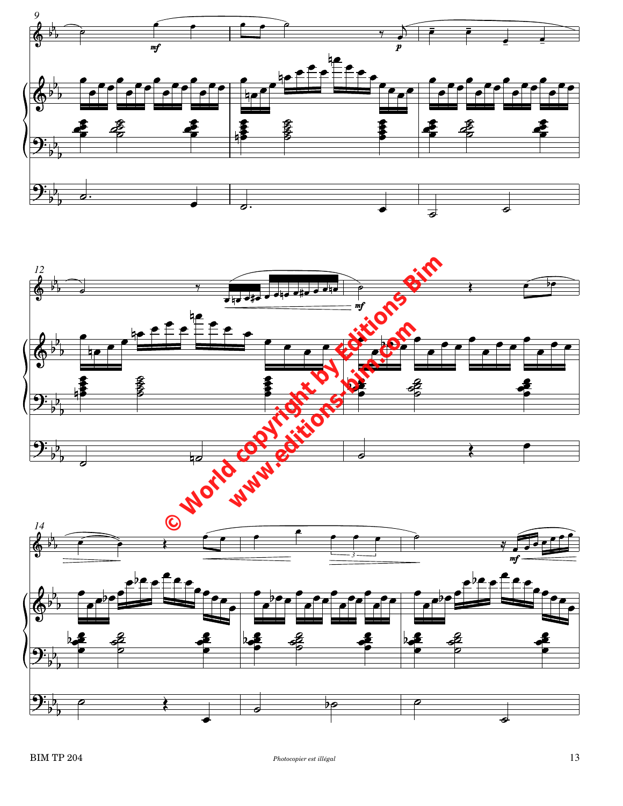



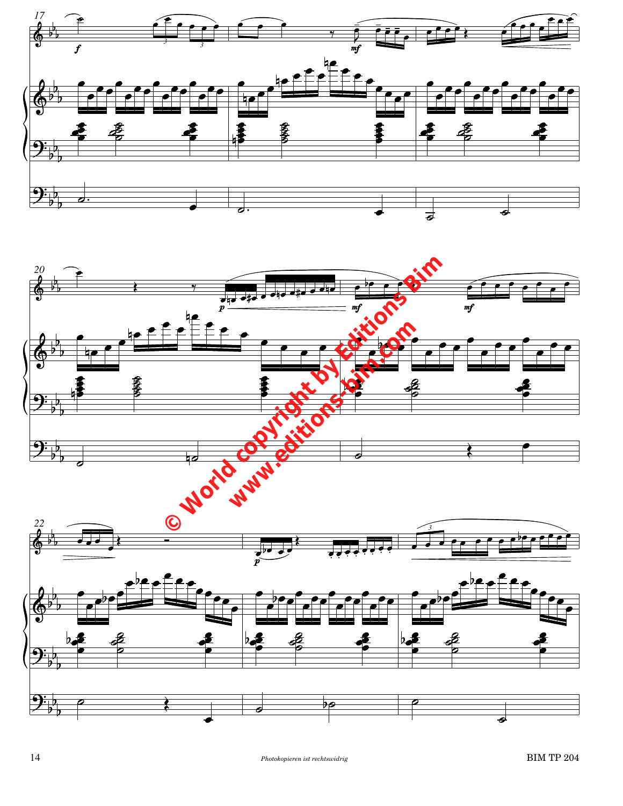



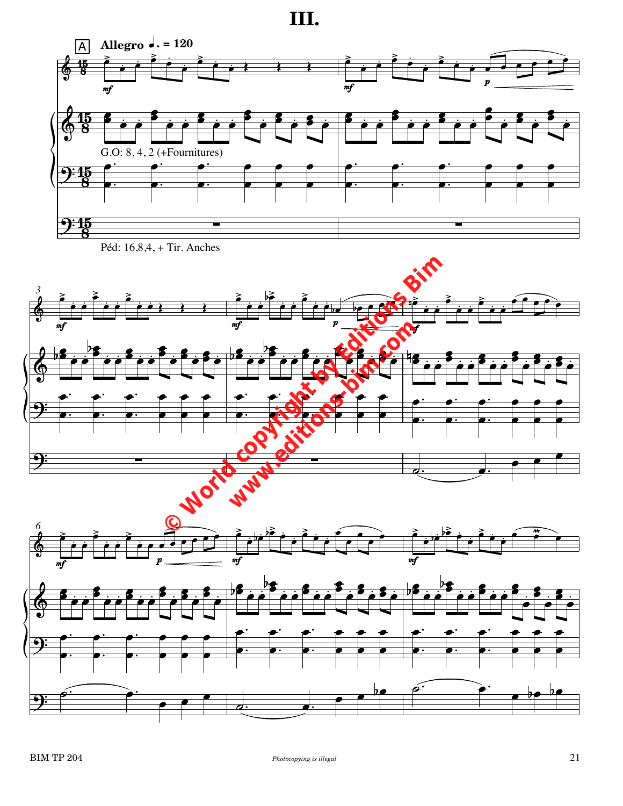III.







 $\epsilon$ 

 $\frac{6}{ }$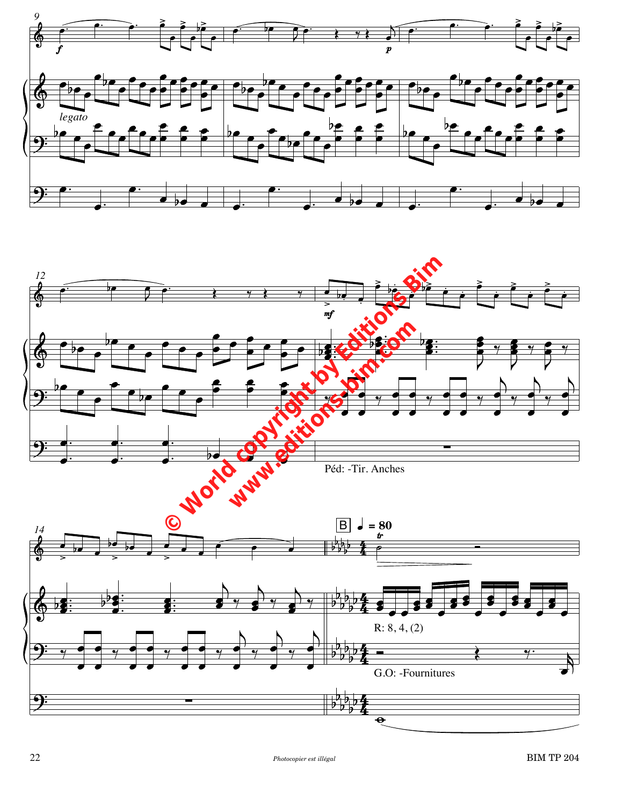

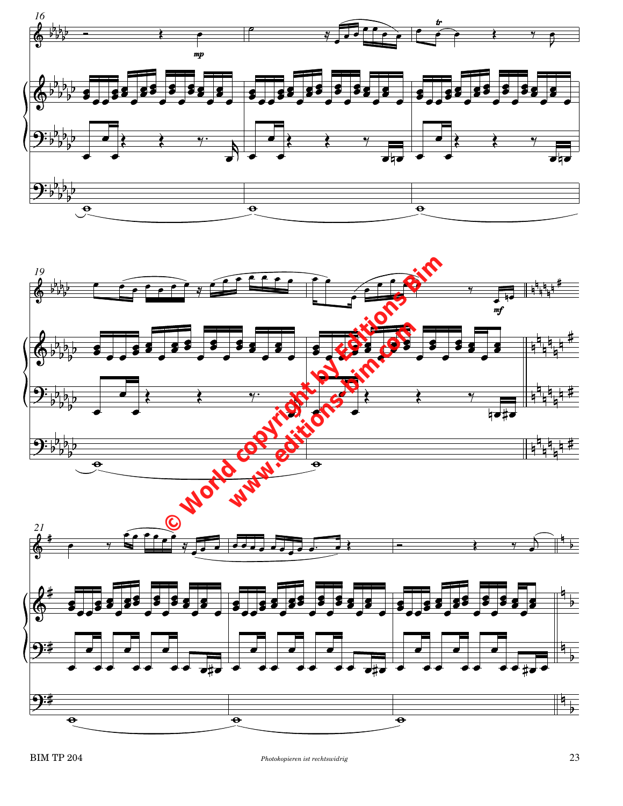